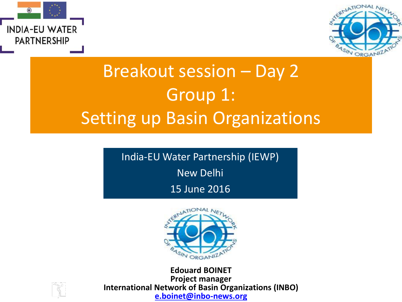



## Breakout session – Day 2 Group 1: Setting up Basin Organizations

India-EU Water Partnership (IEWP)

New Delhi

15 June 2016



**Edouard BOINET Project manager International Network of Basin Organizations (INBO) [e.boinet@inbo-news.org](mailto:e.boinet@inbo-news.org)**

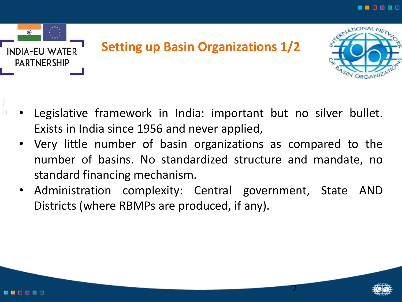

- Legislative framework in India: important but no silver bullet. Exists in India since 1956 and never applied,
- Very little number of basin organizations as compared to the number of basins. No standardized structure and mandate, no standard financing mechanism.
- Administration complexity: Central government, State AND Districts (where RBMPs are produced, if any).



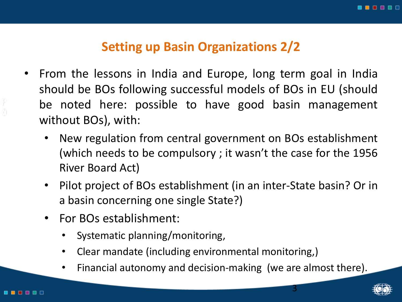## **Setting up Basin Organizations 2/2**

- From the lessons in India and Europe, long term goal in India should be BOs following successful models of BOs in EU (should be noted here: possible to have good basin management without BOs), with:
	- New regulation from central government on BOs establishment (which needs to be compulsory ; it wasn't the case for the 1956 River Board Act)
	- Pilot project of BOs establishment (in an inter-State basin? Or in a basin concerning one single State?)
	- For BOs establishment:
		- Systematic planning/monitoring,
		- Clear mandate (including environmental monitoring,)
		- Financial autonomy and decision-making (we are almost there).